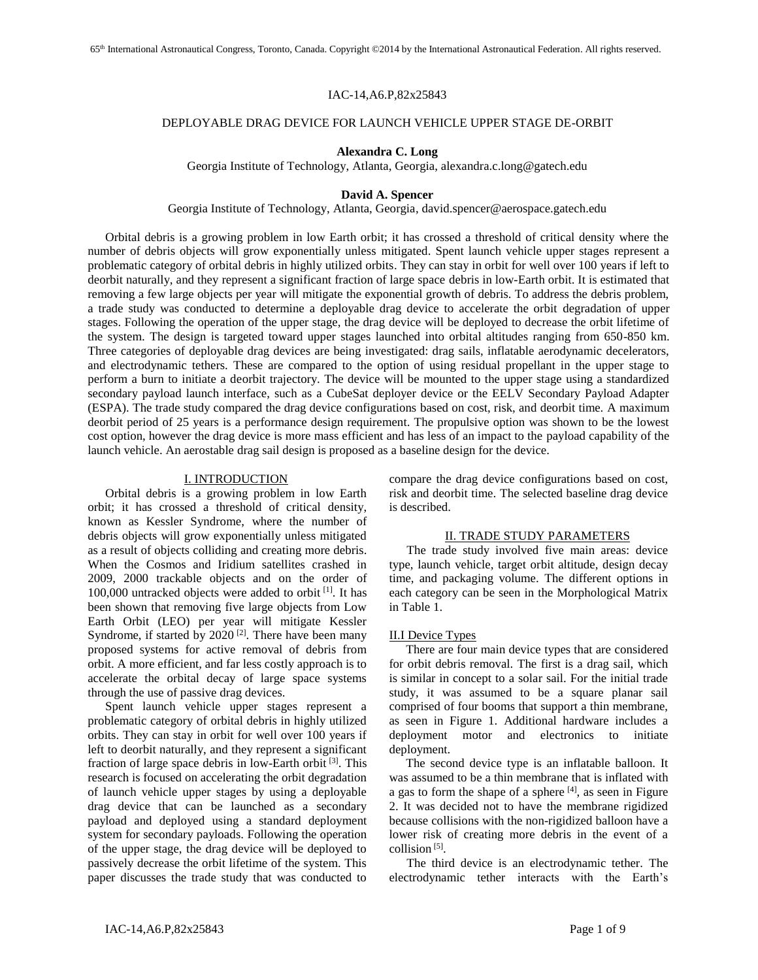#### IAC-14,A6.P,82x25843

## DEPLOYABLE DRAG DEVICE FOR LAUNCH VEHICLE UPPER STAGE DE-ORBIT

## **Alexandra C. Long**

Georgia Institute of Technology, Atlanta, Georgia, alexandra.c.long@gatech.edu

# **David A. Spencer**

Georgia Institute of Technology, Atlanta, Georgia, david.spencer@aerospace.gatech.edu

Orbital debris is a growing problem in low Earth orbit; it has crossed a threshold of critical density where the number of debris objects will grow exponentially unless mitigated. Spent launch vehicle upper stages represent a problematic category of orbital debris in highly utilized orbits. They can stay in orbit for well over 100 years if left to deorbit naturally, and they represent a significant fraction of large space debris in low-Earth orbit. It is estimated that removing a few large objects per year will mitigate the exponential growth of debris. To address the debris problem, a trade study was conducted to determine a deployable drag device to accelerate the orbit degradation of upper stages. Following the operation of the upper stage, the drag device will be deployed to decrease the orbit lifetime of the system. The design is targeted toward upper stages launched into orbital altitudes ranging from 650-850 km. Three categories of deployable drag devices are being investigated: drag sails, inflatable aerodynamic decelerators, and electrodynamic tethers. These are compared to the option of using residual propellant in the upper stage to perform a burn to initiate a deorbit trajectory. The device will be mounted to the upper stage using a standardized secondary payload launch interface, such as a CubeSat deployer device or the EELV Secondary Payload Adapter (ESPA). The trade study compared the drag device configurations based on cost, risk, and deorbit time. A maximum deorbit period of 25 years is a performance design requirement. The propulsive option was shown to be the lowest cost option, however the drag device is more mass efficient and has less of an impact to the payload capability of the launch vehicle. An aerostable drag sail design is proposed as a baseline design for the device.

#### I. INTRODUCTION

Orbital debris is a growing problem in low Earth orbit; it has crossed a threshold of critical density, known as Kessler Syndrome, where the number of debris objects will grow exponentially unless mitigated as a result of objects colliding and creating more debris. When the Cosmos and Iridium satellites crashed in 2009, 2000 trackable objects and on the order of 100,000 untracked objects were added to orbit [1] . It has been shown that removing five large objects from Low Earth Orbit (LEO) per year will mitigate Kessler Syndrome, if started by  $2020$ <sup>[2]</sup>. There have been many proposed systems for active removal of debris from orbit. A more efficient, and far less costly approach is to accelerate the orbital decay of large space systems through the use of passive drag devices.

Spent launch vehicle upper stages represent a problematic category of orbital debris in highly utilized orbits. They can stay in orbit for well over 100 years if left to deorbit naturally, and they represent a significant fraction of large space debris in low-Earth orbit [3]. This research is focused on accelerating the orbit degradation of launch vehicle upper stages by using a deployable drag device that can be launched as a secondary payload and deployed using a standard deployment system for secondary payloads. Following the operation of the upper stage, the drag device will be deployed to passively decrease the orbit lifetime of the system. This paper discusses the trade study that was conducted to

compare the drag device configurations based on cost, risk and deorbit time. The selected baseline drag device is described.

## II. TRADE STUDY PARAMETERS

The trade study involved five main areas: device type, launch vehicle, target orbit altitude, design decay time, and packaging volume. The different options in each category can be seen in the Morphological Matrix in Table 1.

#### II.I Device Types

There are four main device types that are considered for orbit debris removal. The first is a drag sail, which is similar in concept to a solar sail. For the initial trade study, it was assumed to be a square planar sail comprised of four booms that support a thin membrane, as seen in Figure 1. Additional hardware includes a deployment motor and electronics to initiate deployment.

The second device type is an inflatable balloon. It was assumed to be a thin membrane that is inflated with a gas to form the shape of a sphere  $[4]$ , as seen in Figure 2. It was decided not to have the membrane rigidized because collisions with the non-rigidized balloon have a lower risk of creating more debris in the event of a collision<sup>[5]</sup>.

The third device is an electrodynamic tether. The electrodynamic tether interacts with the Earth's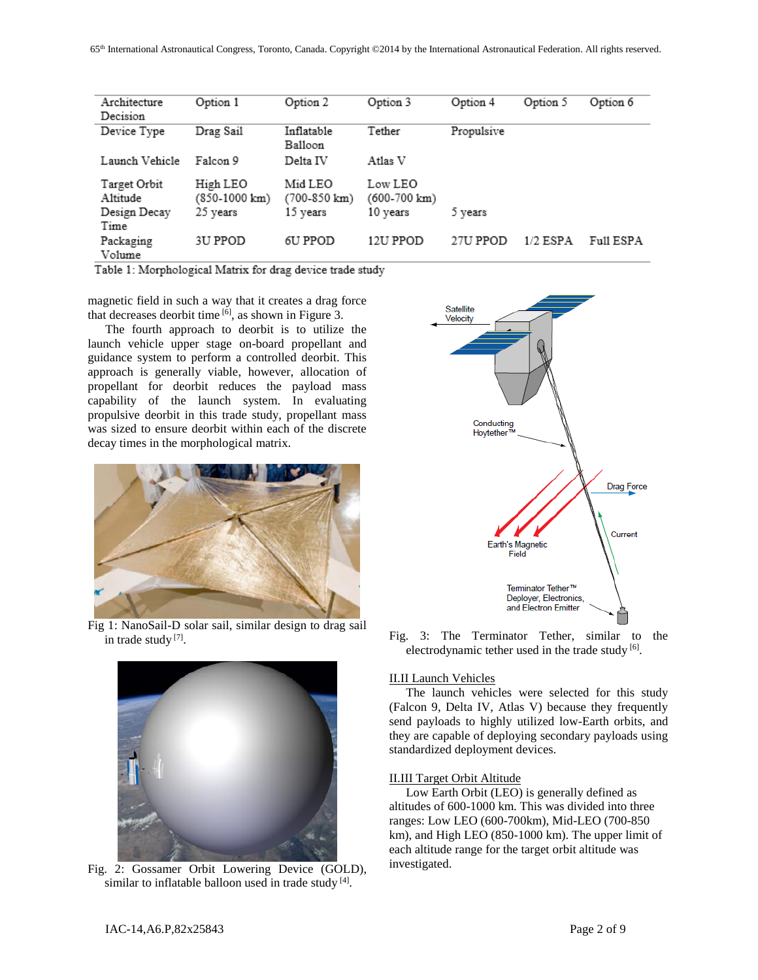| Architecture<br>Decision | Option 1                  | Option 2                          | Option 3                | Option 4   | Option 5   | Option 6  |
|--------------------------|---------------------------|-----------------------------------|-------------------------|------------|------------|-----------|
| Device Type              | Drag Sail                 | Inflatable<br>Balloon             | Tether                  | Propulsive |            |           |
| Launch Vehicle           | Falcon 9                  | Delta IV                          | Atlas V                 |            |            |           |
| Target Orbit<br>Altitude | High LEO<br>(850-1000 km) | Mid LEO<br>$(700-850 \text{ km})$ | Low LEO<br>(600-700 km) |            |            |           |
| Design Decay<br>Time     | 25 years                  | 15 years                          | 10 years                | 5 years    |            |           |
| Packaging<br>Volume      | 3U PPOD                   | 6U PPOD                           | 12U PPOD                | 27U PPOD   | $1/2$ ESPA | Full ESPA |

Table 1: Morphological Matrix for drag device trade study

magnetic field in such a way that it creates a drag force that decreases deorbit time  $\left[6\right]$ , as shown in Figure 3.

The fourth approach to deorbit is to utilize the launch vehicle upper stage on-board propellant and guidance system to perform a controlled deorbit. This approach is generally viable, however, allocation of propellant for deorbit reduces the payload mass capability of the launch system. In evaluating propulsive deorbit in this trade study, propellant mass was sized to ensure deorbit within each of the discrete decay times in the morphological matrix.



Fig 1: NanoSail-D solar sail, similar design to drag sail in trade study<sup>[7]</sup>.



Fig. 2: Gossamer Orbit Lowering Device (GOLD), similar to inflatable balloon used in trade study [4].



Fig. 3: The Terminator Tether, similar to the electrodynamic tether used in the trade study [6].

#### II.II Launch Vehicles

The launch vehicles were selected for this study (Falcon 9, Delta IV, Atlas V) because they frequently send payloads to highly utilized low-Earth orbits, and they are capable of deploying secondary payloads using standardized deployment devices.

# II.III Target Orbit Altitude

Low Earth Orbit (LEO) is generally defined as altitudes of 600-1000 km. This was divided into three ranges: Low LEO (600-700km), Mid-LEO (700-850 km), and High LEO (850-1000 km). The upper limit of each altitude range for the target orbit altitude was investigated.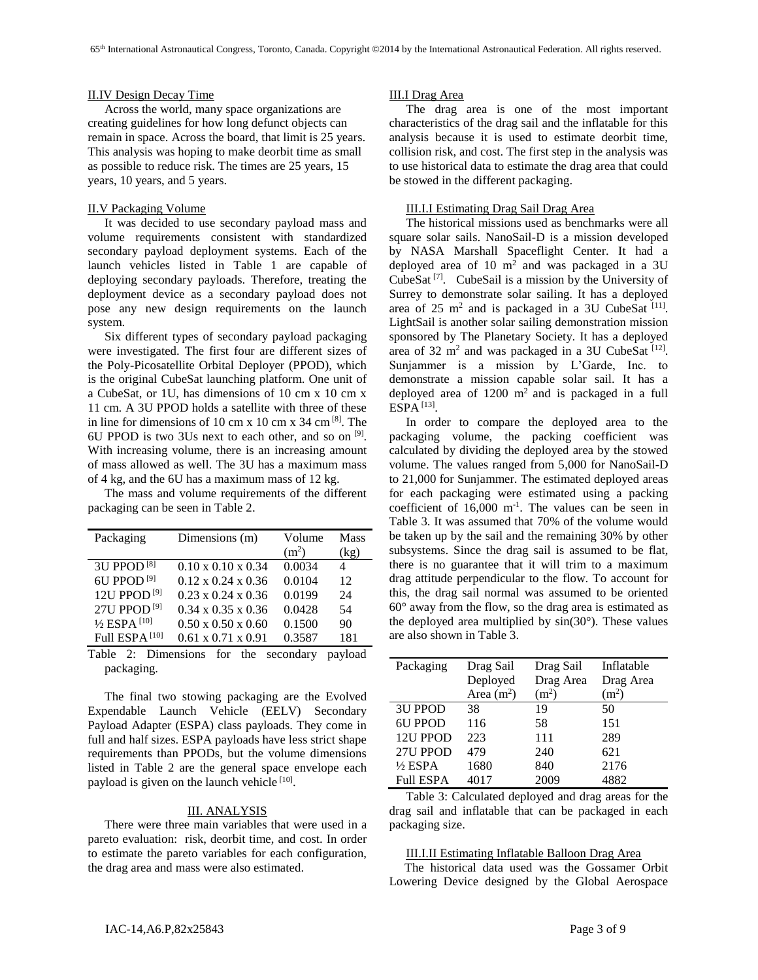#### II.IV Design Decay Time

Across the world, many space organizations are creating guidelines for how long defunct objects can remain in space. Across the board, that limit is 25 years. This analysis was hoping to make deorbit time as small as possible to reduce risk. The times are 25 years, 15 years, 10 years, and 5 years.

#### II.V Packaging Volume

It was decided to use secondary payload mass and volume requirements consistent with standardized secondary payload deployment systems. Each of the launch vehicles listed in Table 1 are capable of deploying secondary payloads. Therefore, treating the deployment device as a secondary payload does not pose any new design requirements on the launch system.

Six different types of secondary payload packaging were investigated. The first four are different sizes of the Poly-Picosatellite Orbital Deployer (PPOD), which is the original CubeSat launching platform. One unit of a CubeSat, or 1U, has dimensions of 10 cm x 10 cm x 11 cm. A 3U PPOD holds a satellite with three of these in line for dimensions of 10 cm x 10 cm x 34 cm  $^{[8]}$ . The 6U PPOD is two 3Us next to each other, and so on  $[9]$ . With increasing volume, there is an increasing amount of mass allowed as well. The 3U has a maximum mass of 4 kg, and the 6U has a maximum mass of 12 kg.

The mass and volume requirements of the different packaging can be seen in Table 2.

| Packaging                 | Dimensions (m)                 | Volume            | Mass |
|---------------------------|--------------------------------|-------------------|------|
|                           |                                | (m <sup>2</sup> ) | (kg) |
| 3U PPOD <sup>[8]</sup>    | $0.10 \times 0.10 \times 0.34$ | 0.0034            | 4    |
| 6U PPOD <sup>[9]</sup>    | $0.12 \times 0.24 \times 0.36$ | 0.0104            | 12   |
| 12U PPOD <sup>[9]</sup>   | $0.23 \times 0.24 \times 0.36$ | 0.0199            | 24   |
| 27U PPOD <sup>[9]</sup>   | $0.34 \times 0.35 \times 0.36$ | 0.0428            | 54   |
| 1/2 ESPA <sup>[10]</sup>  | $0.50 \times 0.50 \times 0.60$ | 0.1500            | 90   |
| Full ESPA <sup>[10]</sup> | $0.61 \times 0.71 \times 0.91$ | 0.3587            | 181  |

Table 2: Dimensions for the secondary payload packaging.

The final two stowing packaging are the Evolved Expendable Launch Vehicle (EELV) Secondary Payload Adapter (ESPA) class payloads. They come in full and half sizes. ESPA payloads have less strict shape requirements than PPODs, but the volume dimensions listed in Table 2 are the general space envelope each payload is given on the launch vehicle<sup>[10]</sup>.

## III. ANALYSIS

There were three main variables that were used in a pareto evaluation: risk, deorbit time, and cost. In order to estimate the pareto variables for each configuration, the drag area and mass were also estimated.

# III.I Drag Area

The drag area is one of the most important characteristics of the drag sail and the inflatable for this analysis because it is used to estimate deorbit time, collision risk, and cost. The first step in the analysis was to use historical data to estimate the drag area that could be stowed in the different packaging.

#### III.I.I Estimating Drag Sail Drag Area

The historical missions used as benchmarks were all square solar sails. NanoSail-D is a mission developed by NASA Marshall Spaceflight Center. It had a deployed area of 10  $m<sup>2</sup>$  and was packaged in a 3U CubeSat<sup>[7]</sup>. CubeSail is a mission by the University of Surrey to demonstrate solar sailing. It has a deployed area of  $25 \text{ m}^2$  and is packaged in a 3U CubeSat  $^{[11]}$ . LightSail is another solar sailing demonstration mission sponsored by The Planetary Society. It has a deployed area of 32 m<sup>2</sup> and was packaged in a 3U CubeSat  $[12]$ . Sunjammer is a mission by L'Garde, Inc. to demonstrate a mission capable solar sail. It has a deployed area of  $1200 \text{ m}^2$  and is packaged in a full ESPA [13] .

In order to compare the deployed area to the packaging volume, the packing coefficient was calculated by dividing the deployed area by the stowed volume. The values ranged from 5,000 for NanoSail-D to 21,000 for Sunjammer. The estimated deployed areas for each packaging were estimated using a packing coefficient of  $16,000 \text{ m}^{-1}$ . The values can be seen in Table 3. It was assumed that 70% of the volume would be taken up by the sail and the remaining 30% by other subsystems. Since the drag sail is assumed to be flat, there is no guarantee that it will trim to a maximum drag attitude perpendicular to the flow. To account for this, the drag sail normal was assumed to be oriented 60° away from the flow, so the drag area is estimated as the deployed area multiplied by  $sin(30^\circ)$ . These values are also shown in Table 3.

| Packaging        | Drag Sail   | Drag Sail         | Inflatable        |
|------------------|-------------|-------------------|-------------------|
|                  | Deployed    | Drag Area         | Drag Area         |
|                  | Area $(m2)$ | (m <sup>2</sup> ) | (m <sup>2</sup> ) |
| <b>3U PPOD</b>   | 38          | 19                | 50                |
| <b>6U PPOD</b>   | 116         | 58                | 151               |
| 12U PPOD         | 223         | 111               | 289               |
| 27U PPOD         | 479         | 240               | 621               |
| $1/2$ ESPA       | 1680        | 840               | 2176              |
| <b>Full ESPA</b> | 4017        | 2009              | 4882              |

Table 3: Calculated deployed and drag areas for the drag sail and inflatable that can be packaged in each packaging size.

#### III.I.II Estimating Inflatable Balloon Drag Area

 The historical data used was the Gossamer Orbit Lowering Device designed by the Global Aerospace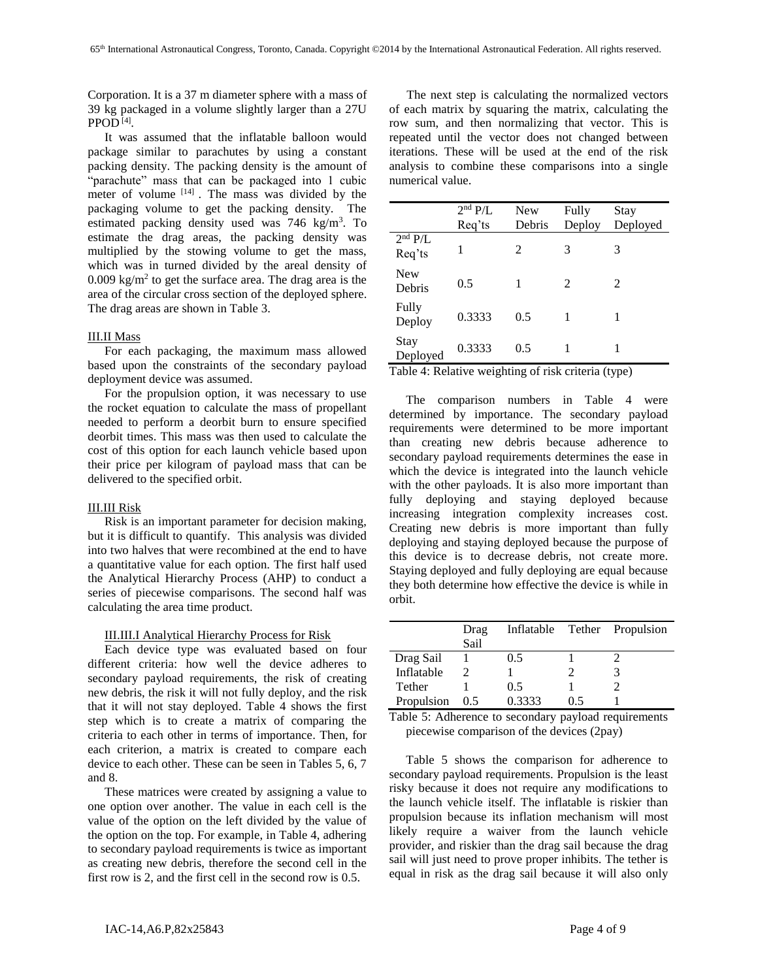Corporation. It is a 37 m diameter sphere with a mass of 39 kg packaged in a volume slightly larger than a 27U PPOD [4] .

It was assumed that the inflatable balloon would package similar to parachutes by using a constant packing density. The packing density is the amount of "parachute" mass that can be packaged into 1 cubic meter of volume  $[14]$ . The mass was divided by the packaging volume to get the packing density. The estimated packing density used was  $746 \text{ kg/m}^3$ . To estimate the drag areas, the packing density was multiplied by the stowing volume to get the mass, which was in turned divided by the areal density of  $0.009 \text{ kg/m}^2$  to get the surface area. The drag area is the area of the circular cross section of the deployed sphere. The drag areas are shown in Table 3.

# III.II Mass

For each packaging, the maximum mass allowed based upon the constraints of the secondary payload deployment device was assumed.

For the propulsion option, it was necessary to use the rocket equation to calculate the mass of propellant needed to perform a deorbit burn to ensure specified deorbit times. This mass was then used to calculate the cost of this option for each launch vehicle based upon their price per kilogram of payload mass that can be delivered to the specified orbit.

## III.III Risk

Risk is an important parameter for decision making, but it is difficult to quantify. This analysis was divided into two halves that were recombined at the end to have a quantitative value for each option. The first half used the Analytical Hierarchy Process (AHP) to conduct a series of piecewise comparisons. The second half was calculating the area time product.

# III.III.I Analytical Hierarchy Process for Risk

Each device type was evaluated based on four different criteria: how well the device adheres to secondary payload requirements, the risk of creating new debris, the risk it will not fully deploy, and the risk that it will not stay deployed. Table 4 shows the first step which is to create a matrix of comparing the criteria to each other in terms of importance. Then, for each criterion, a matrix is created to compare each device to each other. These can be seen in Tables 5, 6, 7 and 8.

These matrices were created by assigning a value to one option over another. The value in each cell is the value of the option on the left divided by the value of the option on the top. For example, in Table 4, adhering to secondary payload requirements is twice as important as creating new debris, therefore the second cell in the first row is 2, and the first cell in the second row is 0.5.

The next step is calculating the normalized vectors of each matrix by squaring the matrix, calculating the row sum, and then normalizing that vector. This is repeated until the vector does not changed between iterations. These will be used at the end of the risk analysis to combine these comparisons into a single numerical value.

|                               | $2nd$ P/L | <b>New</b> | Fully                 | Stay     |
|-------------------------------|-----------|------------|-----------------------|----------|
|                               | Req'ts    | Debris     | Deploy                | Deployed |
| 2 <sup>nd</sup> P/L<br>Req'ts | 1         | 2          | 3                     | 3        |
| <b>New</b><br>Debris          | 0.5       | 1          | $\mathcal{D}_{\cdot}$ | 2        |
| Fully<br>Deploy               | 0.3333    | 0.5        | 1                     | 1        |
| Stay<br>Deployed              | 0.3333    | 0.5        |                       |          |

Table 4: Relative weighting of risk criteria (type)

The comparison numbers in Table 4 were determined by importance. The secondary payload requirements were determined to be more important than creating new debris because adherence to secondary payload requirements determines the ease in which the device is integrated into the launch vehicle with the other payloads. It is also more important than fully deploying and staying deployed because increasing integration complexity increases cost. Creating new debris is more important than fully deploying and staying deployed because the purpose of this device is to decrease debris, not create more. Staying deployed and fully deploying are equal because they both determine how effective the device is while in orbit.

|            | Drag |        |     | Inflatable Tether Propulsion |
|------------|------|--------|-----|------------------------------|
|            | Sail |        |     |                              |
| Drag Sail  |      | 0.5    |     |                              |
| Inflatable |      |        |     |                              |
| Tether     |      | 0.5    |     |                              |
| Propulsion | 0.5  | 0.3333 | 0.5 |                              |

Table 5: Adherence to secondary payload requirements piecewise comparison of the devices (2pay)

Table 5 shows the comparison for adherence to secondary payload requirements. Propulsion is the least risky because it does not require any modifications to the launch vehicle itself. The inflatable is riskier than propulsion because its inflation mechanism will most likely require a waiver from the launch vehicle provider, and riskier than the drag sail because the drag sail will just need to prove proper inhibits. The tether is equal in risk as the drag sail because it will also only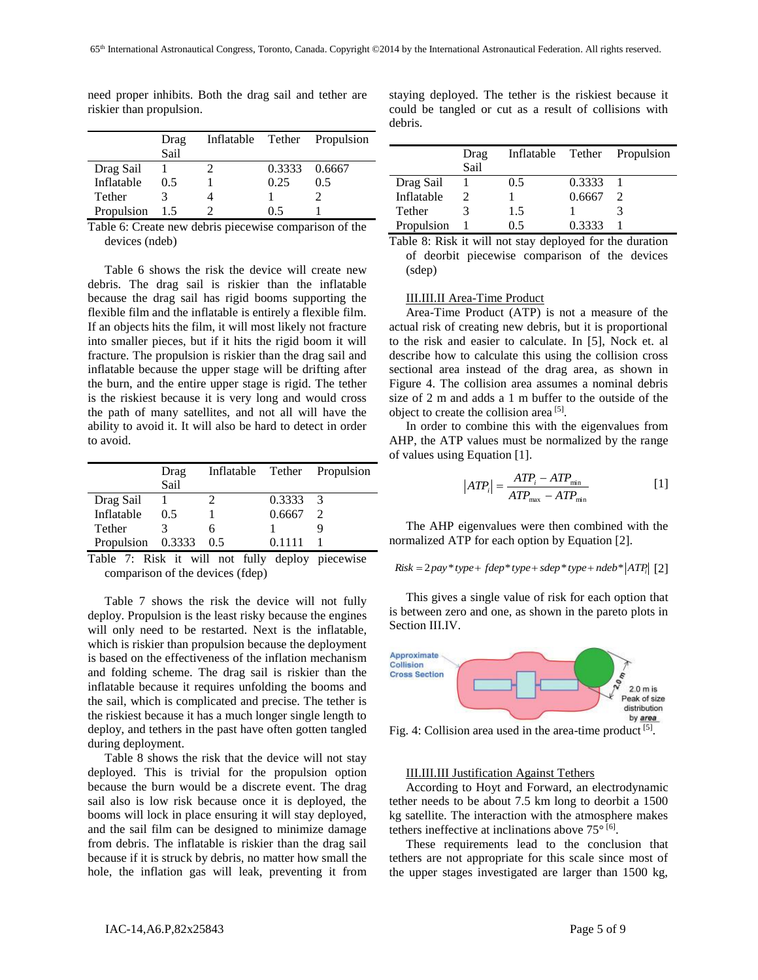|            | Drag |      | Inflatable Tether Propulsion |
|------------|------|------|------------------------------|
|            | Sail |      |                              |
| Drag Sail  |      |      | 0.3333 0.6667                |
| Inflatable | 0.5  | 0.25 | 0.5                          |
| Tether     |      |      |                              |
| Propulsion | 1.5  | 05   |                              |

need proper inhibits. Both the drag sail and tether are riskier than propulsion.

Table 6: Create new debris piecewise comparison of the devices (ndeb)

Table 6 shows the risk the device will create new debris. The drag sail is riskier than the inflatable because the drag sail has rigid booms supporting the flexible film and the inflatable is entirely a flexible film. If an objects hits the film, it will most likely not fracture into smaller pieces, but if it hits the rigid boom it will fracture. The propulsion is riskier than the drag sail and inflatable because the upper stage will be drifting after the burn, and the entire upper stage is rigid. The tether is the riskiest because it is very long and would cross the path of many satellites, and not all will have the ability to avoid it. It will also be hard to detect in order to avoid.

|                   | Drag |     |        | Inflatable Tether Propulsion |
|-------------------|------|-----|--------|------------------------------|
|                   | Sail |     |        |                              |
| Drag Sail         |      |     | 0.3333 | $\mathcal{R}$                |
| Inflatable        | 0.5  |     | 0.6667 |                              |
| Tether            |      |     |        |                              |
| Propulsion 0.3333 |      | 0.5 | 0.1111 |                              |

Table 7: Risk it will not fully deploy piecewise comparison of the devices (fdep)

Table 7 shows the risk the device will not fully deploy. Propulsion is the least risky because the engines will only need to be restarted. Next is the inflatable, which is riskier than propulsion because the deployment is based on the effectiveness of the inflation mechanism and folding scheme. The drag sail is riskier than the inflatable because it requires unfolding the booms and the sail, which is complicated and precise. The tether is the riskiest because it has a much longer single length to deploy, and tethers in the past have often gotten tangled during deployment.

Table 8 shows the risk that the device will not stay deployed. This is trivial for the propulsion option because the burn would be a discrete event. The drag sail also is low risk because once it is deployed, the booms will lock in place ensuring it will stay deployed, and the sail film can be designed to minimize damage from debris. The inflatable is riskier than the drag sail because if it is struck by debris, no matter how small the hole, the inflation gas will leak, preventing it from staying deployed. The tether is the riskiest because it could be tangled or cut as a result of collisions with debris.

|            | Drag<br>Sail |     |        | Inflatable Tether Propulsion |
|------------|--------------|-----|--------|------------------------------|
| Drag Sail  |              | 0.5 | 0.3333 |                              |
| Inflatable |              |     | 0.6667 |                              |
| Tether     |              | 1.5 |        |                              |
| Propulsion |              | 05  | 0.3333 |                              |

Table 8: Risk it will not stay deployed for the duration of deorbit piecewise comparison of the devices (sdep)

# III.III.II Area-Time Product

Area-Time Product (ATP) is not a measure of the actual risk of creating new debris, but it is proportional to the risk and easier to calculate. In [5], Nock et. al describe how to calculate this using the collision cross sectional area instead of the drag area, as shown in Figure 4. The collision area assumes a nominal debris size of 2 m and adds a 1 m buffer to the outside of the object to create the collision area<sup>[5]</sup>.

In order to combine this with the eigenvalues from AHP, the ATP values must be normalized by the range of values using Equation [1].

$$
|ATP_i| = \frac{ATP_i - ATP_{\min}}{ATP_{\max} -ATP_{\min}}
$$
 [1]

The AHP eigenvalues were then combined with the normalized ATP for each option by Equation [2].

*Risk* = 
$$
2pay * type + fdep * type + sdep * type + ndeb * |ATP_i|
$$
 [2]

This gives a single value of risk for each option that is between zero and one, as shown in the pareto plots in Section III.IV.



Fig. 4: Collision area used in the area-time product  $[5]$ .

#### III.III.III Justification Against Tethers

According to Hoyt and Forward, an electrodynamic tether needs to be about 7.5 km long to deorbit a 1500 kg satellite. The interaction with the atmosphere makes tethers ineffective at inclinations above 75° [6].

These requirements lead to the conclusion that tethers are not appropriate for this scale since most of the upper stages investigated are larger than 1500 kg,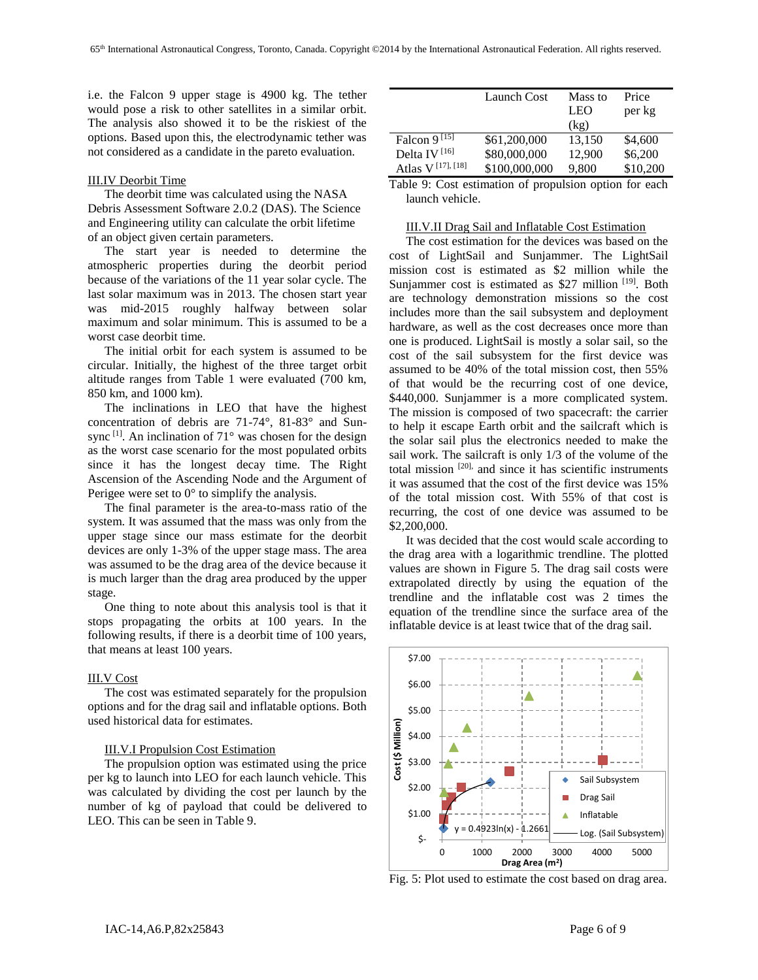i.e. the Falcon 9 upper stage is 4900 kg. The tether would pose a risk to other satellites in a similar orbit. The analysis also showed it to be the riskiest of the options. Based upon this, the electrodynamic tether was not considered as a candidate in the pareto evaluation.

# III.IV Deorbit Time

The deorbit time was calculated using the NASA Debris Assessment Software 2.0.2 (DAS). The Science and Engineering utility can calculate the orbit lifetime of an object given certain parameters.

The start year is needed to determine the atmospheric properties during the deorbit period because of the variations of the 11 year solar cycle. The last solar maximum was in 2013. The chosen start year was mid-2015 roughly halfway between solar maximum and solar minimum. This is assumed to be a worst case deorbit time.

The initial orbit for each system is assumed to be circular. Initially, the highest of the three target orbit altitude ranges from Table 1 were evaluated (700 km, 850 km, and 1000 km).

The inclinations in LEO that have the highest concentration of debris are 71-74°, 81-83° and Sunsync  $[1]$ . An inclination of  $71^\circ$  was chosen for the design as the worst case scenario for the most populated orbits since it has the longest decay time. The Right Ascension of the Ascending Node and the Argument of Perigee were set to  $0^{\circ}$  to simplify the analysis.

The final parameter is the area-to-mass ratio of the system. It was assumed that the mass was only from the upper stage since our mass estimate for the deorbit devices are only 1-3% of the upper stage mass. The area was assumed to be the drag area of the device because it is much larger than the drag area produced by the upper stage.

One thing to note about this analysis tool is that it stops propagating the orbits at 100 years. In the following results, if there is a deorbit time of 100 years, that means at least 100 years.

#### III.V Cost

The cost was estimated separately for the propulsion options and for the drag sail and inflatable options. Both used historical data for estimates.

# III.V.I Propulsion Cost Estimation

The propulsion option was estimated using the price per kg to launch into LEO for each launch vehicle. This was calculated by dividing the cost per launch by the number of kg of payload that could be delivered to LEO. This can be seen in Table 9.

|                                           | Launch Cost   | Mass to | Price    |
|-------------------------------------------|---------------|---------|----------|
|                                           |               | LEO     | per kg   |
|                                           |               | (kg)    |          |
| Falcon 9 <sup>[15]</sup>                  | \$61,200,000  | 13,150  | \$4,600  |
| Delta IV <sup>[16]</sup>                  | \$80,000,000  | 12,900  | \$6,200  |
| Atlas V <sup>[17]</sup> , <sup>[18]</sup> | \$100,000,000 | 9,800   | \$10,200 |

Table 9: Cost estimation of propulsion option for each launch vehicle.

### III.V.II Drag Sail and Inflatable Cost Estimation

The cost estimation for the devices was based on the cost of LightSail and Sunjammer. The LightSail mission cost is estimated as \$2 million while the Sunjammer cost is estimated as \$27 million [19]. Both are technology demonstration missions so the cost includes more than the sail subsystem and deployment hardware, as well as the cost decreases once more than one is produced. LightSail is mostly a solar sail, so the cost of the sail subsystem for the first device was assumed to be 40% of the total mission cost, then 55% of that would be the recurring cost of one device, \$440,000. Sunjammer is a more complicated system. The mission is composed of two spacecraft: the carrier to help it escape Earth orbit and the sailcraft which is the solar sail plus the electronics needed to make the sail work. The sailcraft is only 1/3 of the volume of the total mission [20], and since it has scientific instruments it was assumed that the cost of the first device was 15% of the total mission cost. With 55% of that cost is recurring, the cost of one device was assumed to be \$2,200,000.

It was decided that the cost would scale according to the drag area with a logarithmic trendline. The plotted values are shown in Figure 5. The drag sail costs were extrapolated directly by using the equation of the trendline and the inflatable cost was 2 times the equation of the trendline since the surface area of the inflatable device is at least twice that of the drag sail.



Fig. 5: Plot used to estimate the cost based on drag area.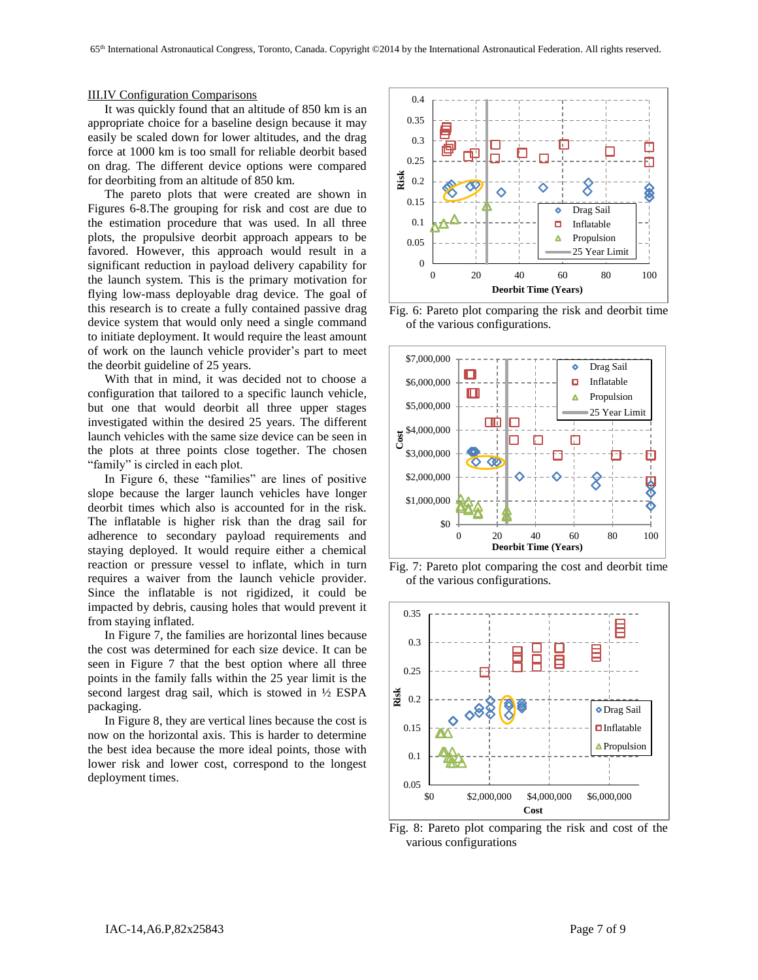# III.IV Configuration Comparisons

It was quickly found that an altitude of 850 km is an appropriate choice for a baseline design because it may easily be scaled down for lower altitudes, and the drag force at 1000 km is too small for reliable deorbit based on drag. The different device options were compared for deorbiting from an altitude of 850 km.

The pareto plots that were created are shown in Figures 6-8.The grouping for risk and cost are due to the estimation procedure that was used. In all three plots, the propulsive deorbit approach appears to be favored. However, this approach would result in a significant reduction in payload delivery capability for the launch system. This is the primary motivation for flying low-mass deployable drag device. The goal of this research is to create a fully contained passive drag device system that would only need a single command to initiate deployment. It would require the least amount of work on the launch vehicle provider's part to meet the deorbit guideline of 25 years.

With that in mind, it was decided not to choose a configuration that tailored to a specific launch vehicle, but one that would deorbit all three upper stages investigated within the desired 25 years. The different launch vehicles with the same size device can be seen in the plots at three points close together. The chosen "family" is circled in each plot.

In Figure 6, these "families" are lines of positive slope because the larger launch vehicles have longer deorbit times which also is accounted for in the risk. The inflatable is higher risk than the drag sail for adherence to secondary payload requirements and staying deployed. It would require either a chemical reaction or pressure vessel to inflate, which in turn requires a waiver from the launch vehicle provider. Since the inflatable is not rigidized, it could be impacted by debris, causing holes that would prevent it from staying inflated.

In Figure 7, the families are horizontal lines because the cost was determined for each size device. It can be seen in Figure 7 that the best option where all three points in the family falls within the 25 year limit is the second largest drag sail, which is stowed in ½ ESPA packaging.

In Figure 8, they are vertical lines because the cost is now on the horizontal axis. This is harder to determine the best idea because the more ideal points, those with lower risk and lower cost, correspond to the longest deployment times.



Fig. 6: Pareto plot comparing the risk and deorbit time of the various configurations.



Fig. 7: Pareto plot comparing the cost and deorbit time of the various configurations.



Fig. 8: Pareto plot comparing the risk and cost of the various configurations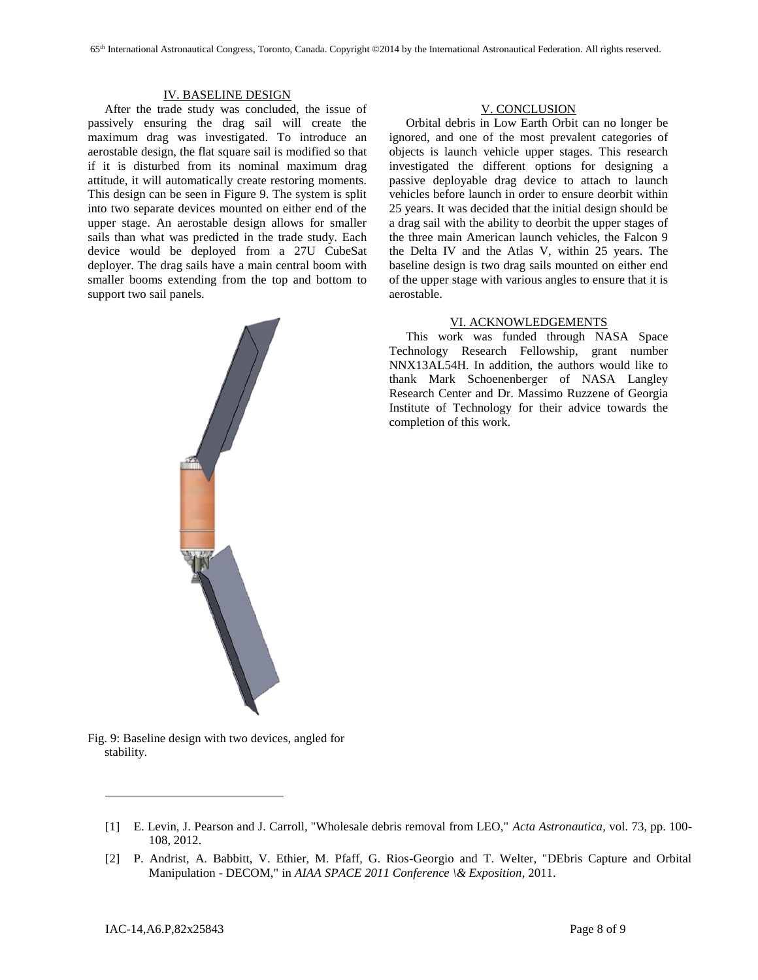# IV. BASELINE DESIGN

After the trade study was concluded, the issue of passively ensuring the drag sail will create the maximum drag was investigated. To introduce an aerostable design, the flat square sail is modified so that if it is disturbed from its nominal maximum drag attitude, it will automatically create restoring moments. This design can be seen in Figure 9. The system is split into two separate devices mounted on either end of the upper stage. An aerostable design allows for smaller sails than what was predicted in the trade study. Each device would be deployed from a 27U CubeSat deployer. The drag sails have a main central boom with smaller booms extending from the top and bottom to support two sail panels.



# V. CONCLUSION

Orbital debris in Low Earth Orbit can no longer be ignored, and one of the most prevalent categories of objects is launch vehicle upper stages. This research investigated the different options for designing a passive deployable drag device to attach to launch vehicles before launch in order to ensure deorbit within 25 years. It was decided that the initial design should be a drag sail with the ability to deorbit the upper stages of the three main American launch vehicles, the Falcon 9 the Delta IV and the Atlas V, within 25 years. The baseline design is two drag sails mounted on either end of the upper stage with various angles to ensure that it is aerostable.

# VI. ACKNOWLEDGEMENTS

This work was funded through NASA Space Technology Research Fellowship, grant number NNX13AL54H. In addition, the authors would like to thank Mark Schoenenberger of NASA Langley Research Center and Dr. Massimo Ruzzene of Georgia Institute of Technology for their advice towards the completion of this work.

Fig. 9: Baseline design with two devices, angled for stability.

l

<sup>[1]</sup> E. Levin, J. Pearson and J. Carroll, "Wholesale debris removal from LEO," *Acta Astronautica,* vol. 73, pp. 100- 108, 2012.

<sup>[2]</sup> P. Andrist, A. Babbitt, V. Ethier, M. Pfaff, G. Rios-Georgio and T. Welter, "DEbris Capture and Orbital Manipulation - DECOM," in *AIAA SPACE 2011 Conference \& Exposition*, 2011.